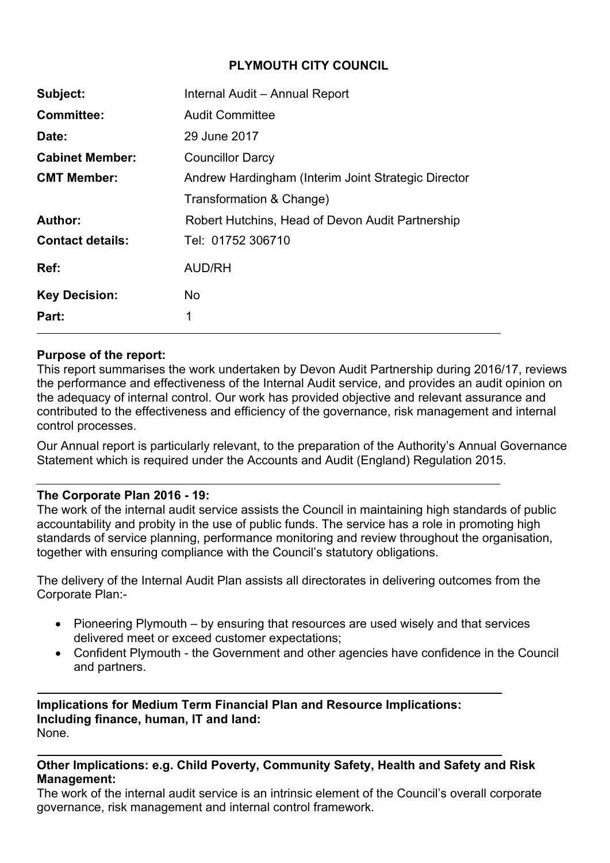# **PLYMOUTH CITY COUNCIL**

| Subject:                | Internal Audit - Annual Report                      |  |  |  |  |  |  |
|-------------------------|-----------------------------------------------------|--|--|--|--|--|--|
| <b>Committee:</b>       | <b>Audit Committee</b>                              |  |  |  |  |  |  |
| Date:                   | 29 June 2017                                        |  |  |  |  |  |  |
| <b>Cabinet Member:</b>  | <b>Councillor Darcy</b>                             |  |  |  |  |  |  |
| <b>CMT Member:</b>      | Andrew Hardingham (Interim Joint Strategic Director |  |  |  |  |  |  |
|                         | Transformation & Change)                            |  |  |  |  |  |  |
| Author:                 | Robert Hutchins, Head of Devon Audit Partnership    |  |  |  |  |  |  |
| <b>Contact details:</b> | Tel: 01752 306710                                   |  |  |  |  |  |  |
| Ref:                    | <b>AUD/RH</b>                                       |  |  |  |  |  |  |
| <b>Key Decision:</b>    | N <sub>o</sub>                                      |  |  |  |  |  |  |
| Part:                   | 1                                                   |  |  |  |  |  |  |

## **Purpose of the report:**

This report summarises the work undertaken by Devon Audit Partnership during 2016/17, reviews the performance and effectiveness of the Internal Audit service, and provides an audit opinion on the adequacy of internal control. Our work has provided objective and relevant assurance and contributed to the effectiveness and efficiency of the governance, risk management and internal control processes.

Our Annual report is particularly relevant, to the preparation of the Authority's Annual Governance Statement which is required under the Accounts and Audit (England) Regulation 2015.

### **The Corporate Plan 2016 - 19:**

The work of the internal audit service assists the Council in maintaining high standards of public accountability and probity in the use of public funds. The service has a role in promoting high standards of service planning, performance monitoring and review throughout the organisation, together with ensuring compliance with the Council's statutory obligations.

The delivery of the Internal Audit Plan assists all directorates in delivering outcomes from the Corporate Plan:-

- Pioneering Plymouth by ensuring that resources are used wisely and that services delivered meet or exceed customer expectations;
- Confident Plymouth the Government and other agencies have confidence in the Council and partners.

**Implications for Medium Term Financial Plan and Resource Implications: Including finance, human, IT and land:** None.

## **Other Implications: e.g. Child Poverty, Community Safety, Health and Safety and Risk Management:**

The work of the internal audit service is an intrinsic element of the Council's overall corporate governance, risk management and internal control framework.